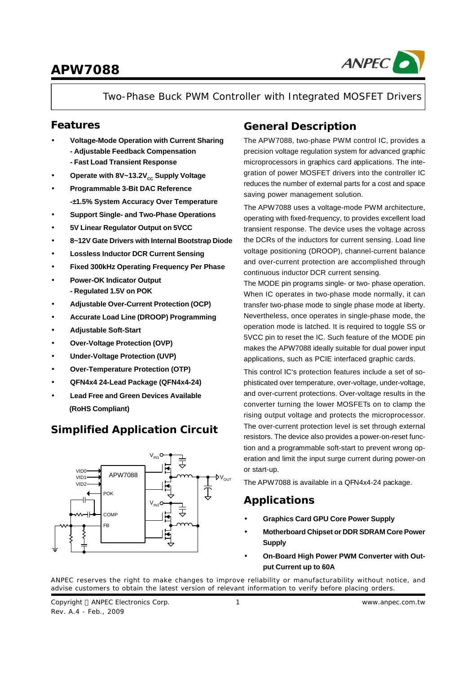

Two-Phase Buck PWM Controller with Integrated MOSFET Drivers

### **Features**

- **· Voltage-Mode Operation with Current Sharing - Adjustable Feedback Compensation - Fast Load Transient Response**
- Operate with 8V~13.2V<sub>cc</sub> Supply Voltage
- **· Programmable 3-Bit DAC Reference -±1.5% System Accuracy Over Temperature**
- **· Support Single- and Two-Phase Operations**
- **· 5V Linear Regulator Output on 5VCC**
- **· 8~12V Gate Drivers with Internal Bootstrap Diode**
- **· Lossless Inductor DCR Current Sensing**
- **· Fixed 300kHz Operating Frequency Per Phase**
- **· Power-OK Indicator Output - Regulated 1.5V on POK**
- **· Adjustable Over-Current Protection (OCP)**
- **· Accurate Load Line (DROOP) Programming**
- **· Adjustable Soft-Start**
- **· Over-Voltage Protection (OVP)**
- **· Under-Voltage Protection (UVP)**
- **· Over-Temperature Protection (OTP)**
- **· QFN4x4 24-Lead Package (QFN4x4-24)**
- **· Lead Free and Green Devices Available (RoHS Compliant)**

## **Simplified Application Circuit**



### **General Description**

The APW7088, two-phase PWM control IC, provides a precision voltage regulation system for advanced graphic microprocessors in graphics card applications. The integration of power MOSFET drivers into the controller IC reduces the number of external parts for a cost and space saving power management solution.

The APW7088 uses a voltage-mode PWM architecture, operating with fixed-frequency, to provides excellent load transient response. The device uses the voltage across the DCRs of the inductors for current sensing. Load line voltage positioning (DROOP), channel-current balance and over-current protection are accomplished through continuous inductor DCR current sensing.

The MODE pin programs single- or two- phase operation. When IC operates in two-phase mode normally, it can transfer two-phase mode to single phase mode at liberty. Nevertheless, once operates in single-phase mode, the operation mode is latched. It is required to toggle SS or 5VCC pin to reset the IC. Such feature of the MODE pin makes the APW7088 ideally suitable for dual power input applications, such as PCIE interfaced graphic cards.

This control IC's protection features include a set of sophisticated over temperature, over-voltage, under-voltage, and over-current protections. Over-voltage results in the converter turning the lower MOSFETs on to clamp the rising output voltage and protects the microprocessor. The over-current protection level is set through external resistors. The device also provides a power-on-reset function and a programmable soft-start to prevent wrong operation and limit the input surge current during power-on or start-up.

The APW7088 is available in a QFN4x4-24 package.

### **Applications**

- **· Graphics Card GPU Core Power Supply**
- **· Motherboard Chipset or DDR SDRAM Core Power Supply**
- **· On-Board High Power PWM Converter with Output Current up to 60A**

ANPEC reserves the right to make changes to improve reliability or manufacturability without notice, and advise customers to obtain the latest version of relevant information to verify before placing orders.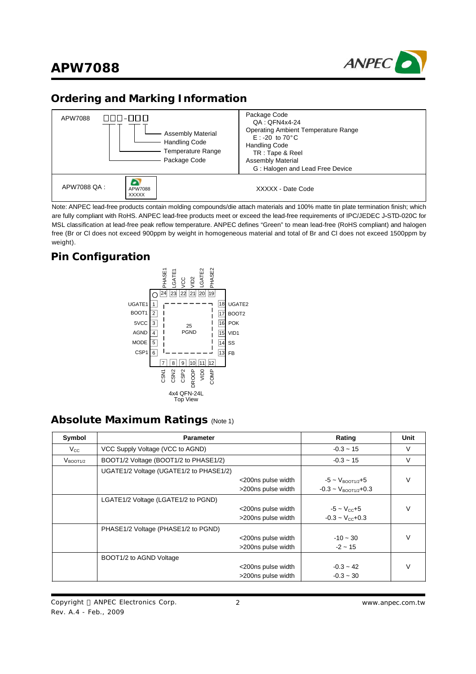

### **Ordering and Marking Information**



Note: ANPEC lead-free products contain molding compounds/die attach materials and 100% matte tin plate termination finish; which are fully compliant with RoHS. ANPEC lead-free products meet or exceed the lead-free requirements of IPC/JEDEC J**-**STD-020C for MSL classification at lead-free peak reflow temperature. ANPEC defines "Green" to mean lead-free (RoHS compliant) and halogen free (Br or Cl does not exceed 900ppm by weight in homogeneous material and total of Br and Cl does not exceed 1500ppm by weight).

### **Pin Configuration**



### **Absolute Maximum Ratings** (Note 1)

| Symbol               | <b>Parameter</b>                        |                    | Rating                               | Unit   |
|----------------------|-----------------------------------------|--------------------|--------------------------------------|--------|
| $V_{\rm CC}$         | VCC Supply Voltage (VCC to AGND)        |                    | $-0.3 - 15$                          | V      |
| V <sub>BOOT1/2</sub> | BOOT1/2 Voltage (BOOT1/2 to PHASE1/2)   |                    | $-0.3 - 15$                          | V      |
|                      | UGATE1/2 Voltage (UGATE1/2 to PHASE1/2) |                    |                                      |        |
|                      |                                         | <200ns pulse width | $-5 \sim V_{\text{BOOT1}/2} + 5$     | $\vee$ |
|                      |                                         | >200ns pulse width | $-0.3 \sim V_{\text{BOOT1}/2} + 0.3$ |        |
|                      | LGATE1/2 Voltage (LGATE1/2 to PGND)     |                    |                                      |        |
|                      |                                         | <200ns pulse width | $-5 - V_{cc} + 5$                    | $\vee$ |
|                      |                                         | >200ns pulse width | $-0.3 - V_{cc} + 0.3$                |        |
|                      | PHASE1/2 Voltage (PHASE1/2 to PGND)     |                    |                                      |        |
|                      |                                         | <200ns pulse width | $-10 - 30$                           | $\vee$ |
|                      |                                         | >200ns pulse width | $-2 \sim 15$                         |        |
|                      | BOOT1/2 to AGND Voltage                 |                    |                                      |        |
|                      |                                         | <200ns pulse width | $-0.3 - 42$                          | $\vee$ |
|                      |                                         | >200ns pulse width | $-0.3 - 30$                          |        |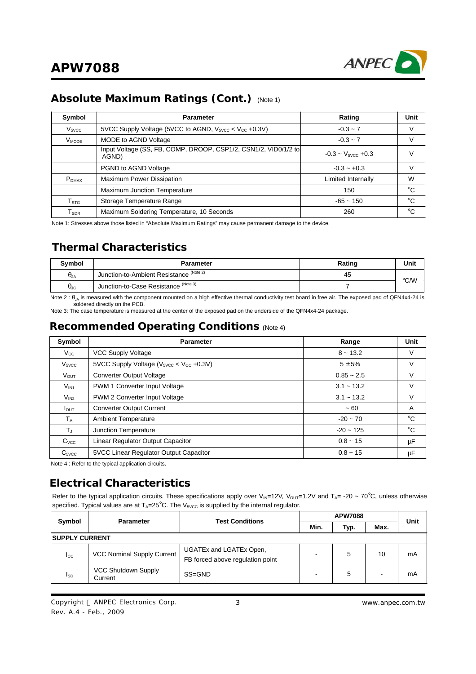

### **Absolute Maximum Ratings (Cont.)** (Note 1)

| Symbol                      | <b>Parameter</b>                                                         | Rating                 | <b>Unit</b> |
|-----------------------------|--------------------------------------------------------------------------|------------------------|-------------|
| V <sub>5VCC</sub>           | 5VCC Supply Voltage (5VCC to AGND, $V_{5VCC}$ < $V_{CC}$ +0.3V)          | $-0.3 - 7$             | V           |
| $V_{MODE}$                  | MODE to AGND Voltage                                                     | $-0.3 - 7$             | V           |
|                             | Input Voltage (SS, FB, COMP, DROOP, CSP1/2, CSN1/2, VID0/1/2 to<br>AGND) | $-0.3 - V5$ vcc $+0.3$ | v           |
|                             | PGND to AGND Voltage                                                     | $-0.3 - +0.3$          | V           |
| $P_{DMAX}$                  | <b>Maximum Power Dissipation</b>                                         | Limited Internally     | W           |
|                             | Maximum Junction Temperature                                             | 150                    | °C          |
| $\mathsf{T}_{\texttt{STG}}$ | Storage Temperature Range                                                | $-65 - 150$            | °C          |
| ${\sf T}_{\sf SDR}$         | Maximum Soldering Temperature, 10 Seconds                                | 260                    | $^{\circ}C$ |

Note 1: Stresses above those listed in "Absolute Maximum Ratings" may cause permanent damage to the device.

### **Thermal Characteristics**

| <b>Symbol</b>        | Parameter                                 | Rating | Unit |
|----------------------|-------------------------------------------|--------|------|
| $\theta_{JA}$        | Junction-to-Ambient Resistance (Note 2)   | 45     | °C/W |
| $\theta_{\text{JC}}$ | (Note 3)<br>Junction-to-Case Resistance " |        |      |

Note 2 :  $\theta_{JA}$  is measured with the component mounted on a high effective thermal conductivity test board in free air. The exposed pad of QFN4x4-24 is soldered directly on the PCB.

Note 3: The case temperature is measured at the center of the exposed pad on the underside of the QFN4x4-24 package.

### **Recommended Operating Conditions** (Note 4)

| Symbol                  | <b>Parameter</b>                                   | Range          | <b>Unit</b>  |
|-------------------------|----------------------------------------------------|----------------|--------------|
| $V_{\rm CC}$            | VCC Supply Voltage                                 | $8 - 13.2$     | V            |
| V <sub>5VCC</sub>       | 5VCC Supply Voltage ( $V_{5VCC}$ < $V_{CC}$ +0.3V) | $5 \pm 5%$     | V            |
| <b>V</b> <sub>OUT</sub> | Converter Output Voltage                           | $0.85 - 2.5$   | $\vee$       |
| $V_{IN1}$               | PWM 1 Converter Input Voltage                      | $3.1 - 13.2$   | $\vee$       |
| $V_{1N2}$               | PWM 2 Converter Input Voltage                      | $3.1 - 13.2$   | $\vee$       |
| $I_{\text{OUT}}$        | <b>Converter Output Current</b>                    | ~100           | A            |
| $T_A$                   | <b>Ambient Temperature</b>                         | $-20 - 70$     | $^{\circ}C$  |
| $T_{\rm J}$             | Junction Temperature                               | $-20 \sim 125$ | $^{\circ}$ C |
| C <sub>VCC</sub>        | Linear Regulator Output Capacitor                  | $0.8 - 15$     | $\mu$ F      |
| $C_{\text{SVCC}}$       | 5VCC Linear Regulator Output Capacitor             | $0.8 - 15$     | $\mu$ F      |

Note 4 : Refer to the typical application circuits.

### **Electrical Characteristics**

Refer to the typical application circuits. These specifications apply over V<sub>IN</sub>=12V, V<sub>OUT</sub>=1.2V and T<sub>A</sub>= -20 ~ 70°C, unless otherwise specified. Typical values are at  $T_A = 25^\circ \text{C}$ . The V<sub>5VCC</sub> is supplied by the internal regulator.

| Symbol                 | <b>Parameter</b>                      | <b>Test Conditions</b>                                      | <b>APW7088</b>           |      |      | Unit |
|------------------------|---------------------------------------|-------------------------------------------------------------|--------------------------|------|------|------|
|                        |                                       |                                                             | Min.                     | Typ. | Max. |      |
| <b>ISUPPLY CURRENT</b> |                                       |                                                             |                          |      |      |      |
| $_{\rm lcc}$           | VCC Nominal Supply Current            | UGATEx and LGATEx Open,<br>FB forced above regulation point |                          | 5    | 10   | mA   |
| l <sub>SD</sub>        | <b>VCC Shutdown Supply</b><br>Current | SS=GND                                                      | $\overline{\phantom{0}}$ | 5    | -    | mA   |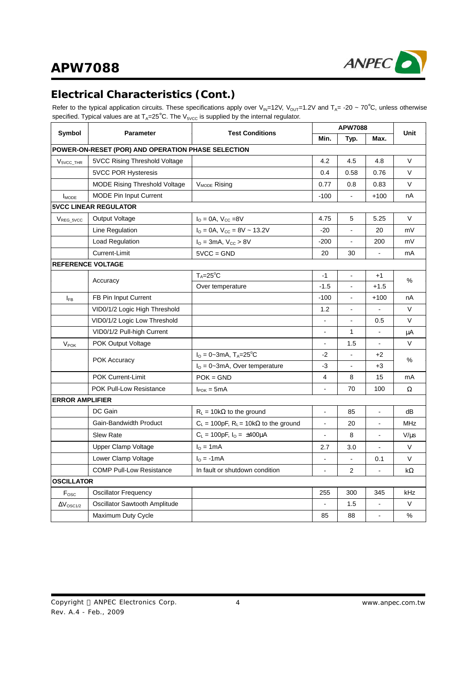

## **Electrical Characteristics (Cont.)**

Refer to the typical application circuits. These specifications apply over V<sub>IN</sub>=12V, V<sub>OUT</sub>=1.2V and T<sub>A</sub>= -20 ~ 70°C, unless otherwise specified. Typical values are at  $T_A=25^\circ$ C. The  $V_{5VCC}$  is supplied by the internal regulator.

| Symbol                  |                                                    | <b>Test Conditions</b>                                | <b>APW7088</b> |                |                | <b>Unit</b> |  |
|-------------------------|----------------------------------------------------|-------------------------------------------------------|----------------|----------------|----------------|-------------|--|
|                         | <b>Parameter</b>                                   |                                                       | Min.           | Typ.           | Max.           |             |  |
|                         | POWER-ON-RESET (POR) AND OPERATION PHASE SELECTION |                                                       |                |                |                |             |  |
| $V5VCC_THR$             | 5VCC Rising Threshold Voltage                      |                                                       | 4.2            | 4.5            | 4.8            | V           |  |
|                         | <b>5VCC POR Hysteresis</b>                         |                                                       | 0.4            | 0.58           | 0.76           | V           |  |
|                         | <b>MODE Rising Threshold Voltage</b>               | V <sub>MODE</sub> Rising                              | 0.77           | 0.8            | 0.83           | V           |  |
| <b>IMODE</b>            | <b>MODE Pin Input Current</b>                      |                                                       | $-100$         | $\overline{a}$ | $+100$         | nA          |  |
|                         | <b>5VCC LINEAR REGULATOR</b>                       |                                                       |                |                |                |             |  |
| VREG 5VCC               | Output Voltage                                     | $I_{\rm O} = 0A$ , $V_{\rm CC} = 8V$                  | 4.75           | 5              | 5.25           | $\vee$      |  |
|                         | Line Regulation                                    | $I_{\text{O}} = 0A$ , $V_{\text{CC}} = 8V \sim 13.2V$ | $-20$          |                | 20             | mV          |  |
|                         | Load Regulation                                    | $I_{O} = 3mA$ , $V_{CC} > 8V$                         |                |                | 200            | mV          |  |
|                         | Current-Limit                                      | $5VCC = GND$                                          | 20             | 30             | $\blacksquare$ | mA          |  |
|                         | <b>REFERENCE VOLTAGE</b>                           |                                                       |                |                |                |             |  |
|                         | Accuracy                                           | $T_A = 25^{\circ}C$                                   | $-1$           | $\blacksquare$ | $+1$           | %           |  |
|                         |                                                    | Over temperature                                      | $-1.5$         | $\overline{a}$ | $+1.5$         |             |  |
| $I_{FB}$                | FB Pin Input Current                               |                                                       | -100           | ÷.             | $+100$         | nА          |  |
|                         | VID0/1/2 Logic High Threshold                      |                                                       | 1.2            |                |                | $\vee$      |  |
|                         | VID0/1/2 Logic Low Threshold                       |                                                       |                |                | 0.5            | $\vee$      |  |
|                         | VID0/1/2 Pull-high Current                         |                                                       |                | $\mathbf{1}$   |                | μA          |  |
| $V_{\text{POK}}$        | POK Output Voltage                                 |                                                       | $\overline{a}$ | 1.5            |                | $\vee$      |  |
|                         | <b>POK Accuracy</b>                                | $I_{O} = 0 - 3mA$ , T <sub>A</sub> =25 <sup>°</sup> C | $-2$           |                | $+2$           | %           |  |
|                         |                                                    | $IO = 0$ ~3mA, Over temperature                       | $-3$           |                | $+3$           |             |  |
|                         | POK Current-Limit                                  | $POK = GND$                                           | 4              | 8              | 15             | mA          |  |
|                         | <b>POK Pull-Low Resistance</b>                     | $I_{\text{POK}} = 5 \text{mA}$                        |                | 70             | 100            | Ω           |  |
| <b>ERROR AMPLIFIER</b>  |                                                    |                                                       |                |                |                |             |  |
|                         | DC Gain                                            | $R_L = 10k\Omega$ to the ground                       | ÷,             | 85             |                | dB          |  |
|                         | Gain-Bandwidth Product                             | $C_L$ = 100pF, $R_L$ = 10k $\Omega$ to the ground     | $\overline{a}$ | 20             | L,             | <b>MHz</b>  |  |
|                         | <b>Slew Rate</b>                                   | $C_L = 100pF$ , $I_O = \pm 400\mu A$                  | $\overline{a}$ | 8              |                | $V/\mu s$   |  |
|                         | Upper Clamp Voltage                                | $I0 = 1mA$                                            | 2.7            | 3.0            | ä,             | V           |  |
|                         | Lower Clamp Voltage                                | $I0 = -1mA$                                           | $\overline{a}$ |                | 0.1            | V           |  |
|                         | <b>COMP Pull-Low Resistance</b>                    | In fault or shutdown condition                        |                | $\overline{2}$ |                | kΩ          |  |
| <b>OSCILLATOR</b>       |                                                    |                                                       |                |                |                |             |  |
| F <sub>osc</sub>        | Oscillator Frequency                               |                                                       | 255            | 300            | 345            | kHz         |  |
| $\Delta V_{\rm OSC1/2}$ | Oscillator Sawtooth Amplitude                      |                                                       |                | 1.5            |                | $\vee$      |  |
|                         | Maximum Duty Cycle                                 |                                                       | 85             | 88             | $\blacksquare$ | %           |  |
|                         |                                                    |                                                       |                |                |                |             |  |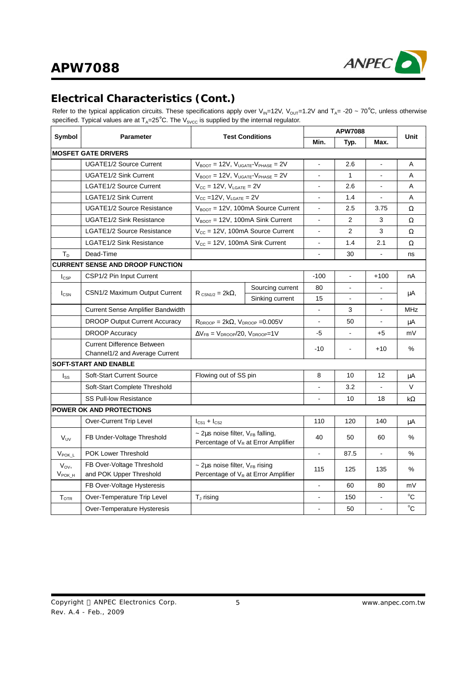

## **Electrical Characteristics (Cont.)**

Refer to the typical application circuits. These specifications apply over V<sub>IN</sub>=12V, V<sub>OUT</sub>=1.2V and T<sub>A</sub>= -20 ~ 70°C, unless otherwise specified. Typical values are at  $T_A=25^\circ$ C. The  $V_{5VCC}$  is supplied by the internal regulator.

| Symbol                         | <b>Parameter</b>                                                    | <b>Test Conditions</b>                                                             |                                                                   |                | <b>APW7088</b> |        | Unit          |
|--------------------------------|---------------------------------------------------------------------|------------------------------------------------------------------------------------|-------------------------------------------------------------------|----------------|----------------|--------|---------------|
|                                |                                                                     |                                                                                    |                                                                   | Min.           | Typ.           | Max.   |               |
|                                | <b>MOSFET GATE DRIVERS</b>                                          |                                                                                    |                                                                   |                |                |        |               |
|                                | <b>UGATE1/2 Source Current</b>                                      | $V_{\text{BOOT}} = 12V$ , $V_{\text{UGATE}} - V_{\text{PHASE}} = 2V$               |                                                                   |                | 2.6            |        | A             |
|                                | <b>UGATE1/2 Sink Current</b>                                        |                                                                                    | $V_{\text{BOOT}} = 12V, V_{\text{UGATE}} - V_{\text{PHASE}} = 2V$ |                | $\mathbf{1}$   |        | A             |
|                                | LGATE1/2 Source Current                                             | $V_{CC} = 12V$ , $V_{LGATE} = 2V$                                                  |                                                                   |                | 2.6            |        | A             |
|                                | <b>LGATE1/2 Sink Current</b>                                        | $V_{CC}$ =12V, $V_{LGATE}$ = 2V                                                    |                                                                   |                | 1.4            |        | A             |
|                                | <b>UGATE1/2 Source Resistance</b>                                   |                                                                                    | $V_{\text{BOOT}} = 12V$ , 100mA Source Current                    |                | 2.5            | 3.75   | $\Omega$      |
|                                | <b>UGATE1/2 Sink Resistance</b>                                     |                                                                                    | $V_{\text{BOOT}} = 12V$ , 100mA Sink Current                      |                | 2              | 3      | Ω             |
|                                | <b>LGATE1/2 Source Resistance</b>                                   |                                                                                    | $V_{CC}$ = 12V, 100mA Source Current                              | ÷,             | $\overline{2}$ | 3      | Ω             |
|                                | <b>LGATE1/2 Sink Resistance</b>                                     | $V_{CC} = 12V$ , 100mA Sink Current                                                |                                                                   | $\blacksquare$ | 1.4            | 2.1    | Ω             |
| $T_D$                          | Dead-Time                                                           |                                                                                    |                                                                   |                | 30             |        | ns            |
|                                | <b>CURRENT SENSE AND DROOP FUNCTION</b>                             |                                                                                    |                                                                   |                |                |        |               |
| $I_{CSP}$                      | CSP1/2 Pin Input Current                                            |                                                                                    |                                                                   | $-100$         |                | $+100$ | nA            |
|                                | CSN1/2 Maximum Output Current                                       |                                                                                    | Sourcing current                                                  | 80             |                |        |               |
| $I_{\text{CSN}}$               |                                                                     | $R_{CSN1/2} = 2k\Omega$ ,                                                          | Sinking current                                                   | 15             |                |        | μA            |
|                                | <b>Current Sense Amplifier Bandwidth</b>                            |                                                                                    |                                                                   |                | 3              |        | <b>MHz</b>    |
|                                | <b>DROOP Output Current Accuracy</b>                                | $R_{DROOP} = 2k\Omega$ , $V_{DROOP} = 0.005V$                                      |                                                                   | $\blacksquare$ | 50             | $\sim$ | μA            |
|                                | <b>DROOP Accuracy</b>                                               | $\Delta V_{FB} = V_{DROOP}/20$ , $V_{DROOP} = 1V$                                  |                                                                   | -5             |                | $+5$   | mV            |
|                                | <b>Current Difference Between</b><br>Channel1/2 and Average Current |                                                                                    |                                                                   | $-10$          | ÷,             | $+10$  | %             |
|                                | SOFT-START AND ENABLE                                               |                                                                                    |                                                                   |                |                |        |               |
| $I_{SS}$                       | Soft-Start Current Source                                           | Flowing out of SS pin                                                              |                                                                   | 8              | 10             | 12     | μA            |
|                                | Soft-Start Complete Threshold                                       |                                                                                    |                                                                   |                | 3.2            |        | $\vee$        |
|                                | <b>SS Pull-low Resistance</b>                                       |                                                                                    |                                                                   |                | 10             | 18     | kΩ            |
|                                | <b>POWER OK AND PROTECTIONS</b>                                     |                                                                                    |                                                                   |                |                |        |               |
|                                | Over-Current Trip Level                                             | $l_{\text{CS1}}$ + $l_{\text{CS2}}$                                                |                                                                   | 110            | 120            | 140    | μA            |
| V <sub>UV</sub>                | FB Under-Voltage Threshold                                          | $\sim$ 2µs noise filter, $V_{FB}$ falling,                                         | Percentage of $V_R$ at Error Amplifier                            | 40             | 50             | 60     | $\%$          |
| V <sub>POK L</sub>             | <b>POK Lower Threshold</b>                                          |                                                                                    |                                                                   |                | 87.5           |        | $\frac{0}{0}$ |
| $V_{OV}$<br>$V_{\text{POK_H}}$ | FB Over-Voltage Threshold<br>and POK Upper Threshold                | $\sim$ 2µs noise filter, $V_{FB}$ rising<br>Percentage of $V_R$ at Error Amplifier |                                                                   | 115            | 125            | 135    | %             |
|                                | FB Over-Voltage Hysteresis                                          |                                                                                    |                                                                   |                | 60             | 80     | mV            |
| $T_{\text{OTR}}$               | Over-Temperature Trip Level                                         | $T_{J}$ rising                                                                     |                                                                   |                | 150            |        | $^{\circ}C$   |
|                                | Over-Temperature Hysteresis                                         |                                                                                    |                                                                   |                | 50             |        | °C            |
|                                |                                                                     |                                                                                    |                                                                   |                |                |        |               |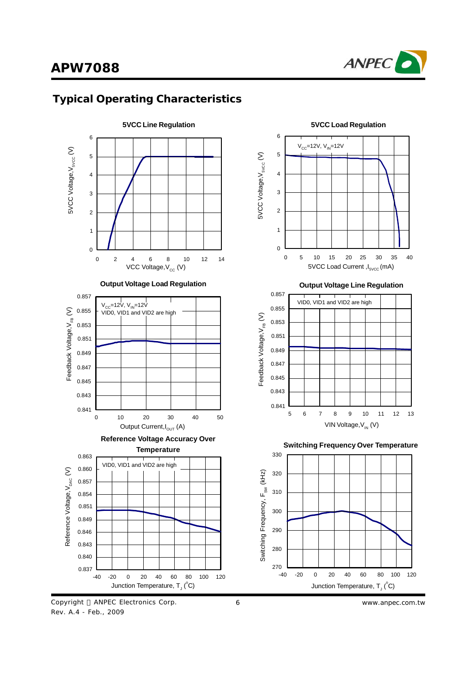











**Switching Frequency Over Temperature**



6 *www.anpec.com.tw*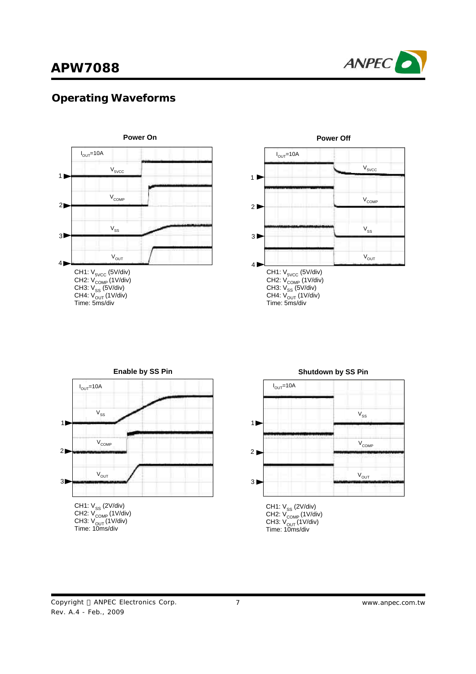

## **Operating Waveforms**



CH4: V<sub>OUT</sub> (1V/div)<br>Time: 5ms/div



# CH1: V<sub>ss</sub> (2V/div) CH2: V<sub>COMP</sub> (1V/div) CH3: V<sub>OUT</sub> (1V/div)<br>Time: 10ms/div **Enable by SS Pin**  $I_{OUT}$ =10A 1  $2D$  $3D$  $V_{\text{COMP}}$  $V_{SS}$  $V_{OUT}$



CH3: V<sub>OUT</sub> (1V/div)<br>Time: 10ms/div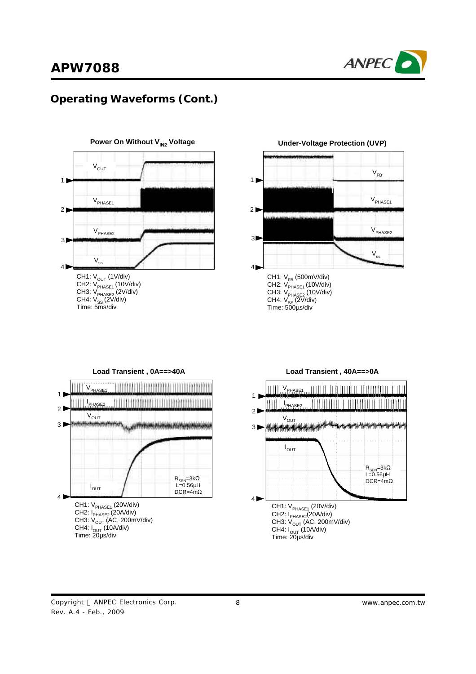

## **Operating Waveforms (Cont.)**





**Under-Voltage Protection (UVP)**





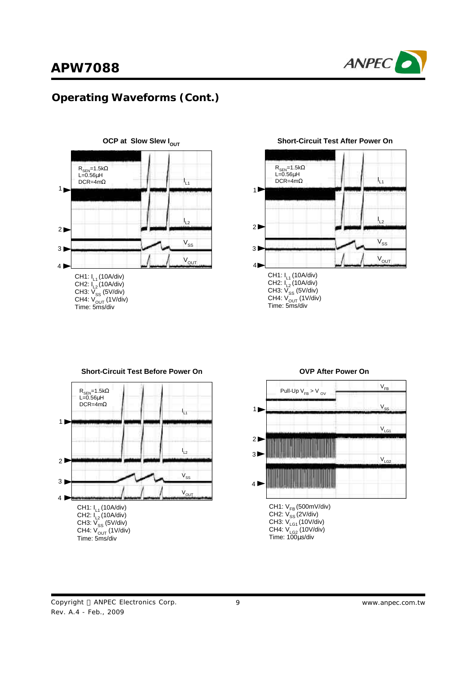

## **Operating Waveforms (Cont.)**



**Short-Circuit Test After Power On**







#### **OVP After Power On**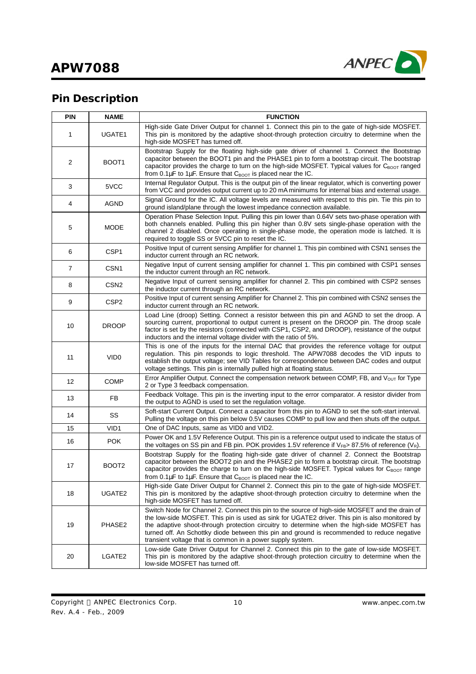

# **Pin Description**

| <b>PIN</b>     | <b>NAME</b>       | <b>FUNCTION</b>                                                                                                                                                                                                                                                                                                                                                                                                                                             |
|----------------|-------------------|-------------------------------------------------------------------------------------------------------------------------------------------------------------------------------------------------------------------------------------------------------------------------------------------------------------------------------------------------------------------------------------------------------------------------------------------------------------|
| 1              | UGATE1            | High-side Gate Driver Output for channel 1. Connect this pin to the gate of high-side MOSFET.<br>This pin is monitored by the adaptive shoot-through protection circuitry to determine when the<br>high-side MOSFET has turned off.                                                                                                                                                                                                                         |
| 2              | BOOT <sub>1</sub> | Bootstrap Supply for the floating high-side gate driver of channel 1. Connect the Bootstrap<br>capacitor between the BOOT1 pin and the PHASE1 pin to form a bootstrap circuit. The bootstrap<br>capacitor provides the charge to turn on the high-side MOSFET. Typical values for CBOOT ranged<br>from 0.1 $\mu$ F to 1 $\mu$ F. Ensure that $C_{\text{BOOT}}$ is placed near the IC.                                                                       |
| 3              | 5VCC              | Internal Regulator Output. This is the output pin of the linear regulator, which is converting power<br>from VCC and provides output current up to 20 mA minimums for internal bias and external usage.                                                                                                                                                                                                                                                     |
| 4              | <b>AGND</b>       | Signal Ground for the IC. All voltage levels are measured with respect to this pin. Tie this pin to<br>ground island/plane through the lowest impedance connection available.                                                                                                                                                                                                                                                                               |
| 5              | <b>MODE</b>       | Operation Phase Selection Input. Pulling this pin lower than 0.64V sets two-phase operation with<br>both channels enabled. Pulling this pin higher than 0.8V sets single-phase operation with the<br>channel 2 disabled. Once operating in single-phase mode, the operation mode is latched. It is<br>required to toggle SS or 5VCC pin to reset the IC.                                                                                                    |
| 6              | CSP <sub>1</sub>  | Positive Input of current sensing Amplifier for channel 1. This pin combined with CSN1 senses the<br>inductor current through an RC network.                                                                                                                                                                                                                                                                                                                |
| $\overline{7}$ | CSN <sub>1</sub>  | Negative Input of current sensing amplifier for channel 1. This pin combined with CSP1 senses<br>the inductor current through an RC network.                                                                                                                                                                                                                                                                                                                |
| 8              | CSN <sub>2</sub>  | Negative Input of current sensing amplifier for channel 2. This pin combined with CSP2 senses<br>the inductor current through an RC network.                                                                                                                                                                                                                                                                                                                |
| 9              | CSP <sub>2</sub>  | Positive Input of current sensing Amplifier for Channel 2. This pin combined with CSN2 senses the<br>inductor current through an RC network.                                                                                                                                                                                                                                                                                                                |
| 10             | <b>DROOP</b>      | Load Line (droop) Setting. Connect a resistor between this pin and AGND to set the droop. A<br>sourcing current, proportional to output current is present on the DROOP pin. The droop scale<br>factor is set by the resistors (connected with CSP1, CSP2, and DROOP), resistance of the output<br>inductors and the internal voltage divider with the ratio of 5%.                                                                                         |
| 11             | VID <sub>0</sub>  | This is one of the inputs for the internal DAC that provides the reference voltage for output<br>regulation. This pin responds to logic threshold. The APW7088 decodes the VID inputs to<br>establish the output voltage; see VID Tables for correspondence between DAC codes and output<br>voltage settings. This pin is internally pulled high at floating status.                                                                                        |
| 12             | <b>COMP</b>       | Error Amplifier Output. Connect the compensation network between COMP, FB, and $V_{\text{OUT}}$ for Type<br>2 or Type 3 feedback compensation.                                                                                                                                                                                                                                                                                                              |
| 13             | FB                | Feedback Voltage. This pin is the inverting input to the error comparator. A resistor divider from<br>the output to AGND is used to set the regulation voltage.                                                                                                                                                                                                                                                                                             |
| 14             | SS                | Soft-start Current Output. Connect a capacitor from this pin to AGND to set the soft-start interval.<br>Pulling the voltage on this pin below 0.5V causes COMP to pull low and then shuts off the output.                                                                                                                                                                                                                                                   |
| 15             | VID <sub>1</sub>  | One of DAC Inputs, same as VID0 and VID2.                                                                                                                                                                                                                                                                                                                                                                                                                   |
| 16             | <b>POK</b>        | Power OK and 1.5V Reference Output. This pin is a reference output used to indicate the status of<br>the voltages on SS pin and FB pin. POK provides 1.5V reference if $V_{FB}$ 87.5% of reference (V <sub>R</sub> ).                                                                                                                                                                                                                                       |
| 17             | BOOT <sub>2</sub> | Bootstrap Supply for the floating high-side gate driver of channel 2. Connect the Bootstrap<br>capacitor between the BOOT2 pin and the PHASE2 pin to form a bootstrap circuit. The bootstrap<br>capacitor provides the charge to turn on the high-side MOSFET. Typical values for CBOOT range<br>from 0.1 $\mu$ F to 1 $\mu$ F. Ensure that $C_{\text{BOOT}}$ is placed near the IC.                                                                        |
| 18             | UGATE2            | High-side Gate Driver Output for Channel 2. Connect this pin to the gate of high-side MOSFET.<br>This pin is monitored by the adaptive shoot-through protection circuitry to determine when the<br>high-side MOSFET has turned off.                                                                                                                                                                                                                         |
| 19             | PHASE2            | Switch Node for Channel 2. Connect this pin to the source of high-side MOSFET and the drain of<br>the low-side MOSFET. This pin is used as sink for UGATE2 driver. This pin is also monitored by<br>the adaptive shoot-through protection circuitry to determine when the high-side MOSFET has<br>turned off. An Schottky diode between this pin and ground is recommended to reduce negative<br>transient voltage that is common in a power supply system. |
| 20             | LGATE2            | Low-side Gate Driver Output for Channel 2. Connect this pin to the gate of low-side MOSFET.<br>This pin is monitored by the adaptive shoot-through protection circuitry to determine when the<br>low-side MOSFET has turned off.                                                                                                                                                                                                                            |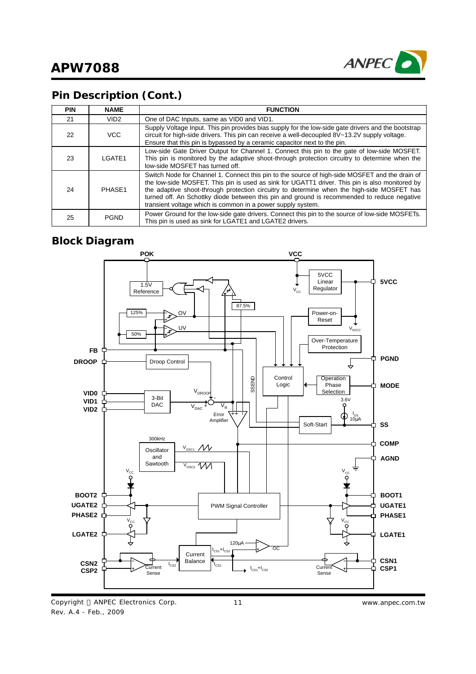

## **Pin Description (Cont.)**

| <b>PIN</b> | <b>NAME</b>      | <b>FUNCTION</b>                                                                                                                                                                                                                                                                                                                                                                                                                                              |
|------------|------------------|--------------------------------------------------------------------------------------------------------------------------------------------------------------------------------------------------------------------------------------------------------------------------------------------------------------------------------------------------------------------------------------------------------------------------------------------------------------|
| 21         | VID <sub>2</sub> | One of DAC Inputs, same as VID0 and VID1.                                                                                                                                                                                                                                                                                                                                                                                                                    |
| 22         | <b>VCC</b>       | Supply Voltage Input. This pin provides bias supply for the low-side gate drivers and the bootstrap<br>circuit for high-side drivers. This pin can receive a well-decoupled 8V~13.2V supply voltage.<br>Ensure that this pin is bypassed by a ceramic capacitor next to the pin.                                                                                                                                                                             |
| 23         | LGATE1           | Low-side Gate Driver Output for Channel 1. Connect this pin to the gate of low-side MOSFET.<br>This pin is monitored by the adaptive shoot-through protection circuitry to determine when the<br>low-side MOSFET has turned off.                                                                                                                                                                                                                             |
| 24         | PHASE1           | Switch Node for Channel 1. Connect this pin to the source of high-side MOSFET and the drain of<br>the low-side MOSFET. This pin is used as sink for UGATT1 driver. This pin is also monitored by<br>the adaptive shoot-through protection circuitry to determine when the high-side MOSFET has<br>turned off. An Schottky diode between this pin and ground is recommended to reduce negative<br>transient voltage which is common in a power supply system. |
| 25         | <b>PGND</b>      | Power Ground for the low-side gate drivers. Connect this pin to the source of low-side MOSFETs.<br>This pin is used as sink for LGATE1 and LGATE2 drivers.                                                                                                                                                                                                                                                                                                   |

### **Block Diagram**



Copyright © ANPEC Electronics Corp. Rev. A.4 - Feb., 2009

11 *www.anpec.com.tw*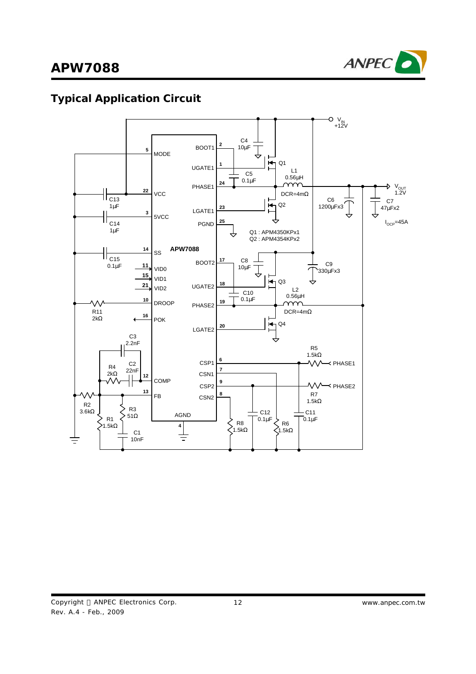

# **Typical Application Circuit**

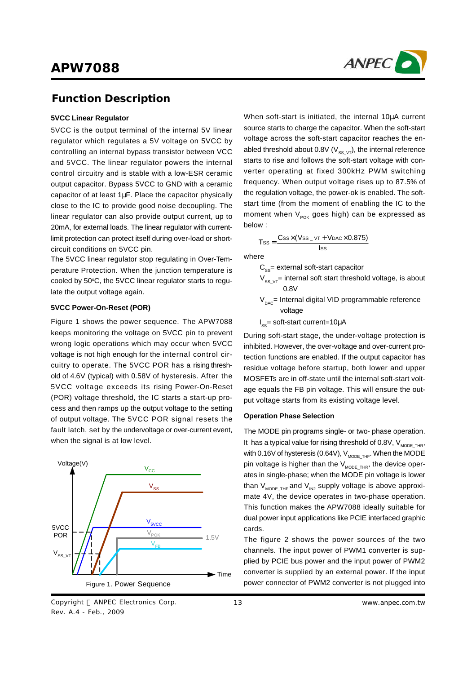

### **Function Description**

#### **5VCC Linear Regulator**

5VCC is the output terminal of the internal 5V linear regulator which regulates a 5V voltage on 5VCC by controlling an internal bypass transistor between VCC and 5VCC. The linear regulator powers the internal control circuitry and is stable with a low-ESR ceramic output capacitor. Bypass 5VCC to GND with a ceramic capacitor of at least 1μF. Place the capacitor physically close to the IC to provide good noise decoupling. The linear regulator can also provide output current, up to 20mA, for external loads. The linear regulator with currentlimit protection can protect itself during over-load or shortcircuit conditions on 5VCC pin.

The 5VCC linear regulator stop regulating in Over-Temperature Protection. When the junction temperature is cooled by 50°C, the 5VCC linear regulator starts to regulate the output voltage again.

#### **5VCC Power-On-Reset (POR)**

Figure 1 shows the power sequence. The APW7088 keeps monitoring the voltage on 5VCC pin to prevent wrong logic operations which may occur when 5VCC voltage is not high enough for the internal control circuitry to operate. The 5VCC POR has a rising threshold of 4.6V (typical) with 0.58V of hysteresis. After the 5VCC voltage exceeds its rising Power-On-Reset (POR) voltage threshold, the IC starts a start-up process and then ramps up the output voltage to the setting of output voltage. The 5VCC POR signal resets the fault latch, set by the undervoltage or over-current event, when the signal is at low level.



Copyright © ANPEC Electronics Corp. Rev. A.4 - Feb., 2009

When soft-start is initiated, the internal 10μA current source starts to charge the capacitor. When the soft-start voltage across the soft-start capacitor reaches the enabled threshold about 0.8V ( $V_{ss, vT}$ ), the internal reference starts to rise and follows the soft-start voltage with converter operating at fixed 300kHz PWM switching frequency. When output voltage rises up to 87.5% of the regulation voltage, the power-ok is enabled. The softstart time (from the moment of enabling the IC to the moment when  $V_{POK}$  goes high) can be expressed as below :

$$
T_{SS} = \frac{Css \times (Vss_{-} \vee r + V_{DAC} \times 0.875)}{lss}
$$

where

 $C_{\text{ss}}$ = external soft-start capacitor

- $V_{SS VT}$ = internal soft start threshold voltage, is about 0.8V
- $V_{\text{pac}}$ = Internal digital VID programmable reference voltage
- $I_{\text{ss}}$ = soft-start current=10 $\mu$ A

During soft-start stage, the under-voltage protection is inhibited. However, the over-voltage and over-current protection functions are enabled. If the output capacitor has residue voltage before startup, both lower and upper MOSFETs are in off-state until the internal soft-start voltage equals the FB pin voltage. This will ensure the output voltage starts from its existing voltage level.

#### **Operation Phase Selection**

The MODE pin programs single- or two- phase operation. It has a typical value for rising threshold of 0.8V,  $V_{\text{MDDE-THE}}$ , with 0.16V of hysteresis (0.64V),  $V_{MODE}$ <sub>THF</sub>. When the MODE pin voltage is higher than the  $V_{MOPE,THB}$ , the device operates in single-phase; when the MODE pin voltage is lower than  $V_{MODETHF}$  and  $V_{IN2}$  supply voltage is above approximate 4V, the device operates in two-phase operation. This function makes the APW7088 ideally suitable for dual power input applications like PCIE interfaced graphic cards.

The figure 2 shows the power sources of the two channels. The input power of PWM1 converter is supplied by PCIE bus power and the input power of PWM2 converter is supplied by an external power. If the input power connector of PWM2 converter is not plugged into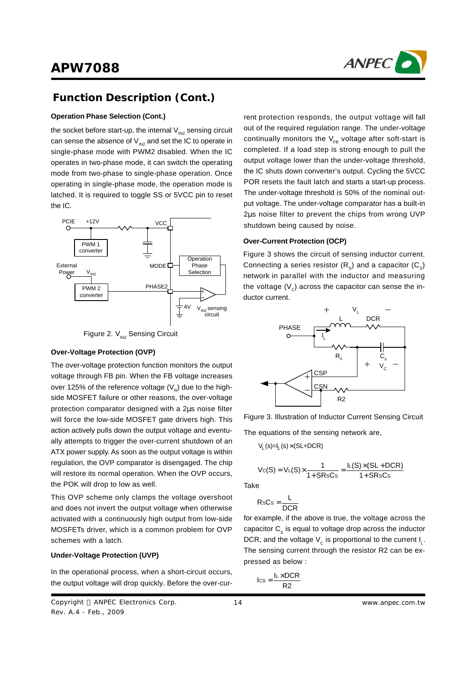

## **Function Description (Cont.)**

#### **Operation Phase Selection (Cont.)**

the socket before start-up, the internal  $V_{N2}$  sensing circuit can sense the absence of  $V_{\text{N2}}$  and set the IC to operate in single-phase mode with PWM2 disabled. When the IC operates in two-phase mode, it can switch the operating mode from two-phase to single-phase operation. Once operating in single-phase mode, the operation mode is latched. It is required to toggle SS or 5VCC pin to reset the IC.



Figure 2.  $V_{IN2}$  Sensing Circuit

#### **Over-Voltage Protection (OVP)**

The over-voltage protection function monitors the output voltage through FB pin. When the FB voltage increases over 125% of the reference voltage (V<sub>R</sub>) due to the highside MOSFET failure or other reasons, the over-voltage protection comparator designed with a 2μs noise filter will force the low-side MOSFET gate drivers high. This action actively pulls down the output voltage and eventually attempts to trigger the over-current shutdown of an ATX power supply. As soon as the output voltage is within regulation, the OVP comparator is disengaged. The chip will restore its normal operation. When the OVP occurs, the POK will drop to low as well.

This OVP scheme only clamps the voltage overshoot and does not invert the output voltage when otherwise activated with a continuously high output from low-side MOSFETs driver, which is a common problem for OVP schemes with a latch.

#### **Under-Voltage Protection (UVP)**

In the operational process, when a short-circuit occurs, the output voltage will drop quickly. Before the over-cur-

rent protection responds, the output voltage will fall out of the required regulation range. The under-voltage continually monitors the  $V_{FB}$  voltage after soft-start is completed. If a load step is strong enough to pull the output voltage lower than the under-voltage threshold, the IC shuts down converter's output. Cycling the 5VCC POR resets the fault latch and starts a start-up process. The under-voltage threshold is 50% of the nominal output voltage. The under-voltage comparator has a built-in 2μs noise filter to prevent the chips from wrong UVP shutdown being caused by noise.

#### **Over-Current Protection (OCP)**

Figure 3 shows the circuit of sensing inductor current. Connecting a series resistor (R<sub>s</sub>) and a capacitor (C<sub>s</sub>) network in parallel with the inductor and measuring the voltage (V $_{\rm c}$ ) across the capacitor can sense the inductor current.



Figure 3. Illustration of Inductor Current Sensing Circuit

The equations of the sensing network are,

$$
V_L(s)=I_L(s)\times (SL+DCR)
$$

$$
V_C(S) = V_L(S) \times \frac{1}{1 + SRSCs} = \frac{I_L(S) \times (SL + DCR)}{1 + SRSCs}
$$

Take

$$
RsCs = \frac{L}{DCR}
$$

for example, if the above is true, the voltage across the capacitor  $\mathtt{C}_\text{s}$  is equal to voltage drop across the inductor DCR, and the voltage  $\mathsf{V}_{_{\mathbb{C}}}$  is proportional to the current  $\mathsf{I}_{_{\mathbb{L}}}$ . The sensing current through the resistor R2 can be expressed as below :

$$
I_{CS} = \frac{I_L \times DCR}{R2}
$$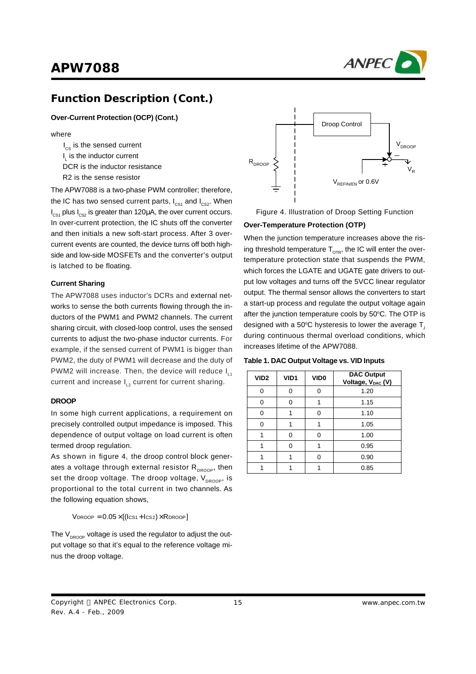

### **Function Description (Cont.)**

**Over-Current Protection (OCP) (Cont.)**

#### where

 $I_{cs}$  is the sensed current  $I_{\text{L}}$  is the inductor current DCR is the inductor resistance R2 is the sense resistor

The APW7088 is a two-phase PWM controller; therefore, the IC has two sensed current parts,  $I_{CS1}$  and  $I_{CS2}$ . When  $I_{\text{CS1}}$  plus  $I_{\text{CS2}}$  is greater than 120μA, the over current occurs. In over-current protection, the IC shuts off the converter and then initials a new soft-start process. After 3 overcurrent events are counted, the device turns off both highside and low-side MOSFETs and the converter's output is latched to be floating.

#### **Current Sharing**

The APW7088 uses inductor's DCRs and external networks to sense the both currents flowing through the inductors of the PWM1 and PWM2 channels. The current sharing circuit, with closed-loop control, uses the sensed currents to adjust the two-phase inductor currents. For example, if the sensed current of PWM1 is bigger than PWM2, the duty of PWM1 will decrease and the duty of PWM2 will increase. Then, the device will reduce  $I_{L1}$ current and increase I<sub>L2</sub> current for current sharing.

#### **DROOP**

In some high current applications, a requirement on precisely controlled output impedance is imposed. This dependence of output voltage on load current is often termed droop regulation.

As shown in figure 4, the droop control block generates a voltage through external resistor  $R_{p_{\text{ROOP}}}$ , then set the droop voltage. The droop voltage,  $V_{DROOP}$ , is proportional to the total current in two channels. As the following equation shows,

 $V_{DROOP} = 0.05 \times [(lcs<sub>1</sub> + lcs<sub>2</sub>) \times R_{DROOP}]$ 

The  $V_{DROOP}$  voltage is used the regulator to adjust the output voltage so that it's equal to the reference voltage minus the droop voltage.



Figure 4. Illustration of Droop Setting Function

#### **Over-Temperature Protection (OTP)**

When the junction temperature increases above the rising threshold temperature  $T_{\text{opp}}$ , the IC will enter the overtemperature protection state that suspends the PWM, which forces the LGATE and UGATE gate drivers to output low voltages and turns off the 5VCC linear regulator output. The thermal sensor allows the converters to start a start-up process and regulate the output voltage again after the junction temperature cools by 50°C. The OTP is designed with a 50 $\degree$ C hysteresis to lower the average T. during continuous thermal overload conditions, which increases lifetime of the APW7088.

| Table 1. DAC Output Voltage vs. VID Inputs |  |  |  |
|--------------------------------------------|--|--|--|
|--------------------------------------------|--|--|--|

| VID <sub>2</sub> | VID1 | VID <sub>0</sub> | <b>DAC Output</b><br>Voltage, V <sub>DAC</sub> (V) |
|------------------|------|------------------|----------------------------------------------------|
| ∩                |      | O                | 1.20                                               |
| O                |      |                  | 1.15                                               |
| n                |      | ⋂                | 1.10                                               |
| ი                |      |                  | 1.05                                               |
|                  |      | n                | 1.00                                               |
|                  |      |                  | 0.95                                               |
|                  |      |                  | 0.90                                               |
|                  |      |                  | 0.85                                               |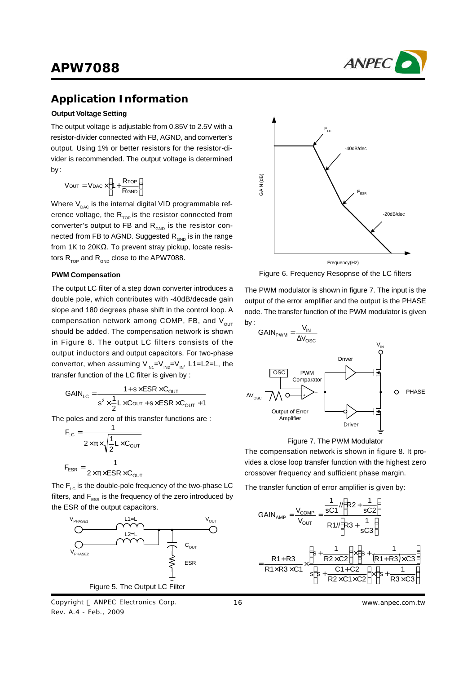

### **Application Information**

#### **Output Voltage Setting**

The output voltage is adjustable from 0.85V to 2.5V with a resistor-divider connected with FB, AGND, and converter's output. Using 1% or better resistors for the resistor-divider is recommended. The output voltage is determined by :

$$
V_{OUT} = V_{DAC} \times \left(1 + \frac{R_{TOP}}{R_{GND}}\right)
$$

Where  $V_{\text{pAC}}$  is the internal digital VID programmable reference voltage, the  $R_{TOP}$  is the resistor connected from converter's output to FB and  $R_{\text{can}}$  is the resistor connected from FB to AGND. Suggested  $R_{GND}$  is in the range from 1K to 20KΩ. To prevent stray pickup, locate resistors  $R_{\text{top}}$  and  $R_{\text{GMD}}$  close to the APW7088.

#### **PWM Compensation**

The output LC filter of a step down converter introduces a double pole, which contributes with -40dB/decade gain slope and 180 degrees phase shift in the control loop. A compensation network among COMP, FB, and  $V_{\text{out}}$ should be added. The compensation network is shown in Figure 8. The output LC filters consists of the output inductors and output capacitors. For two-phase convertor, when assuming  $V_{1N1} = V_{1N2} = V_{1N}$ , L1=L2=L, the transfer function of the LC filter is given by :

$$
GAIN_{LC} = \frac{1 + s \times ESR \times C_{OUT}}{s^2 \times \frac{1}{2}L \times COUT + s \times ESR \times C_{OUT} + 1}
$$

The poles and zero of this transfer functions are :

$$
F_{LC} = \frac{1}{2 \times \pi \times \sqrt{\frac{1}{2} L \times C_{OUT}}}
$$

$$
F_{ESR} = \frac{1}{2 \times \pi \times ESR \times C_{OUT}}
$$

The  $F_{\text{LC}}$  is the double-pole frequency of the two-phase LC filters, and  $F_{ESR}$  is the frequency of the zero introduced by the ESR of the output capacitors.



Copyright © ANPEC Electronics Corp. Rev. A.4 - Feb., 2009



Figure 6. Frequency Resopnse of the LC filters

The PWM modulator is shown in figure 7. The input is the output of the error amplifier and the output is the PHASE node. The transfer function of the PWM modulator is given by :





The compensation network is shown in figure 8. It provides a close loop transfer function with the highest zero crossover frequency and sufficient phase margin.

The transfer function of error amplifier is given by:

$$
GAIN_{AMP} = \frac{V_{COMP}}{V_{OUT}} = \frac{\frac{1}{sC1} \cdot \sqrt{R2 + \frac{1}{sC2}}}{R1 \cdot \sqrt{R3 + \frac{1}{sC3}}}
$$

$$
= \frac{R1 + R3}{R1 \times R3 \times C1} \times \frac{\left(s + \frac{1}{R2 \times C2}\right) \times \left(s + \frac{1}{(R1 + R3) \times C3}\right)}{s\left(s + \frac{C1 + C2}{R2 \times C1 \times C2}\right) \times \left(s + \frac{1}{R3 \times C3}\right)}
$$

16 *www.anpec.com.tw*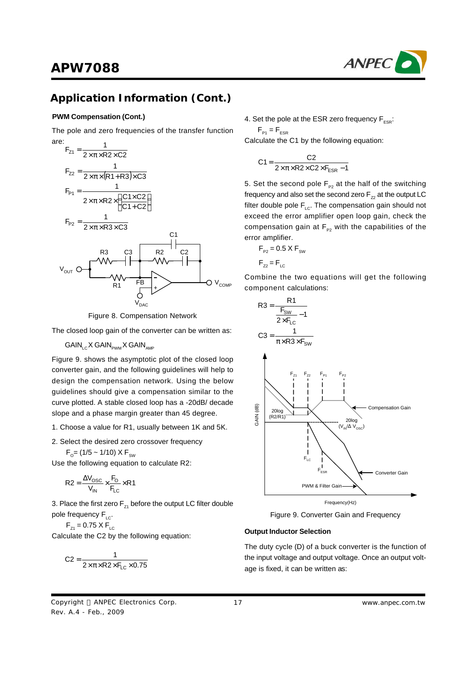

#### **PWM Compensation (Cont.)**

The pole and zero frequencies of the transfer function



Figure 8. Compensation Network

The closed loop gain of the converter can be written as:

 $GAIN_{\scriptscriptstyle{\text{GMM}}}$  X  $GAIN_{\scriptscriptstyle{\text{DMM}}}$  X  $GAIN_{\scriptscriptstyle{\text{AMP}}}$ 

Figure 9. shows the asymptotic plot of the closed loop converter gain, and the following guidelines will help to design the compensation network. Using the below guidelines should give a compensation similar to the curve plotted. A stable closed loop has a -20dB/ decade slope and a phase margin greater than 45 degree.

- 1. Choose a value for R1, usually between 1K and 5K.
- 2. Select the desired zero crossover frequency
	- $\mathsf{F}_{\mathsf{o}}$ = (1/5 ~ 1/10) X  $\mathsf{F}_{\mathsf{sw}}$

Use the following equation to calculate R2:

$$
R2 = \frac{\Delta V_{\text{OSC}}}{V_{\text{IN}}} \times \frac{F_{\text{O}}}{F_{\text{LC}}} \times R1
$$

3. Place the first zero  $F_{71}$  before the output LC filter double pole frequency  $F_{\text{loc}}$ .

 $F_{Z1} = 0.75 \times F_{LC}$ 

Calculate the C2 by the following equation:

$$
C2 = \frac{1}{2 \times \pi \times R2 \times F_{LC} \times 0.75}
$$

4. Set the pole at the ESR zero frequency  $F_{\text{res}}$ :

 $F_{\text{P1}} = F_{\text{ESR}}$ Calculate the C1 by the following equation:

$$
C1 = \frac{C2}{2 \times \pi \times R2 \times C2 \times F_{ESR} - 1}
$$

5. Set the second pole  $F_{p_2}$  at the half of the switching frequency and also set the second zero  $F_{72}$  at the output LC filter double pole  $F_{LC}$ . The compensation gain should not exceed the error amplifier open loop gain, check the compensation gain at  $F_{p2}$  with the capabilities of the error amplifier.

$$
F_{P2} = 0.5 \times F_{SW}
$$

$$
F_{Z2} = F_{LC}
$$

Combine the two equations will get the following component calculations:



Figure 9. Converter Gain and Frequency

#### **Output Inductor Selection**

The duty cycle (D) of a buck converter is the function of the input voltage and output voltage. Once an output voltage is fixed, it can be written as: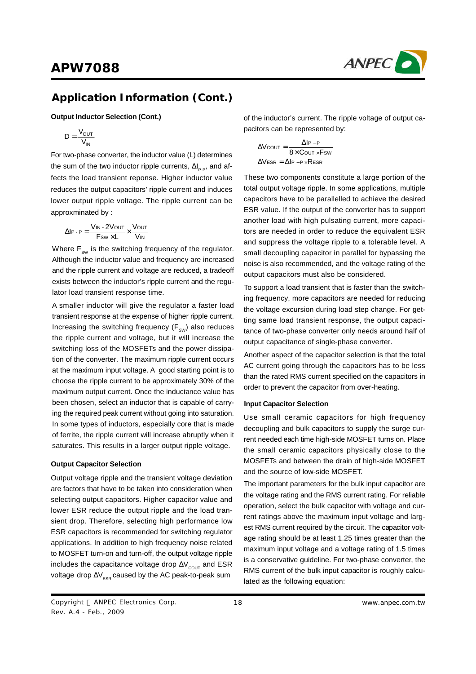

#### **Output Inductor Selection (Cont.)**

$$
D = \frac{V_{OUT}}{V_{IN}}
$$

For two-phase converter, the inductor value (L) determines the sum of the two inductor ripple currents,  $\Delta I_{p.p}$ , and affects the load transient reponse. Higher inductor value reduces the output capacitors' ripple current and induces lower output ripple voltage. The ripple current can be approxminated by :

$$
\Delta I_{P \cdot P} = \frac{V_{IN} \cdot 2V_{OUT}}{F_{SW} \times L} \times \frac{V_{OUT}}{V_{IN}}
$$

Where  $\mathsf{F}_{_{\texttt{SW}}}$  is the switching frequency of the regulator. Although the inductor value and frequency are increased and the ripple current and voltage are reduced, a tradeoff exists between the inductor's ripple current and the regulator load transient response time.

A smaller inductor will give the regulator a faster load transient response at the expense of higher ripple current. Increasing the switching frequency ( $\mathsf{F}_\mathsf{sw}$ ) also reduces the ripple current and voltage, but it will increase the switching loss of the MOSFETs and the power dissipation of the converter. The maximum ripple current occurs at the maximum input voltage. A good starting point is to choose the ripple current to be approximately 30% of the maximum output current. Once the inductance value has been chosen, select an inductor that is capable of carrying the required peak current without going into saturation. In some types of inductors, especially core that is made of ferrite, the ripple current will increase abruptly when it saturates. This results in a larger output ripple voltage.

#### **Output Capacitor Selection**

Output voltage ripple and the transient voltage deviation are factors that have to be taken into consideration when selecting output capacitors. Higher capacitor value and lower ESR reduce the output ripple and the load transient drop. Therefore, selecting high performance low ESR capacitors is recommended for switching regulator applications. In addition to high frequency noise related to MOSFET turn-on and turn-off, the output voltage ripple includes the capacitance voltage drop  $\Delta V_{\text{COUT}}$  and ESR voltage drop  $\Delta V_{\rm FSR}$  caused by the AC peak-to-peak sum

of the inductor's current. The ripple voltage of output capacitors can be represented by:

$$
\Delta V_{\text{COUT}} = \frac{\Delta I_{\text{P}} - P}{8 \times C_{\text{OUT}} \times F_{\text{SW}}}
$$

$$
\Delta V_{\text{ESR}} = \Delta I_{\text{P}} - P_{\times} R_{\text{ESR}}
$$

These two components constitute a large portion of the total output voltage ripple. In some applications, multiple capacitors have to be parallelled to achieve the desired ESR value. If the output of the converter has to support another load with high pulsating current, more capacitors are needed in order to reduce the equivalent ESR and suppress the voltage ripple to a tolerable level. A small decoupling capacitor in parallel for bypassing the noise is also recommended, and the voltage rating of the output capacitors must also be considered.

To support a load transient that is faster than the switching frequency, more capacitors are needed for reducing the voltage excursion during load step change. For getting same load transient response, the output capacitance of two-phase converter only needs around half of output capacitance of single-phase converter.

Another aspect of the capacitor selection is that the total AC current going through the capacitors has to be less than the rated RMS current specified on the capacitors in order to prevent the capacitor from over-heating.

#### **Input Capacitor Selection**

Use small ceramic capacitors for high frequency decoupling and bulk capacitors to supply the surge current needed each time high-side MOSFET turns on. Place the small ceramic capacitors physically close to the MOSFETs and between the drain of high-side MOSFET and the source of low-side MOSFET.

The important parameters for the bulk input capacitor are the voltage rating and the RMS current rating. For reliable operation, select the bulk capacitor with voltage and current ratings above the maximum input voltage and largest RMS current required by the circuit. The capacitor voltage rating should be at least 1.25 times greater than the maximum input voltage and a voltage rating of 1.5 times is a conservative guideline. For two-phase converter, the RMS current of the bulk input capacitor is roughly calculated as the following equation: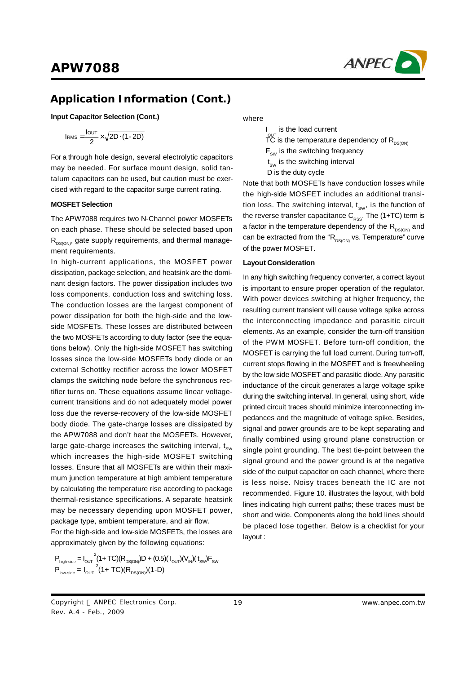

**Input Capacitor Selection (Cont.)**

$$
I_{RMS} = \frac{I_{OUT}}{2} \times \sqrt{2D \cdot (1-2D)}
$$

For a through hole design, several electrolytic capacitors may be needed. For surface mount design, solid tantalum capacitors can be used, but caution must be exercised with regard to the capacitor surge current rating.

#### **MOSFETSelection**

The APW7088 requires two N-Channel power MOSFETs on each phase. These should be selected based upon  $R_{DS(ON)}$ , gate supply requirements, and thermal management requirements.

In high-current applications, the MOSFET power dissipation, package selection, and heatsink are the dominant design factors. The power dissipation includes two loss components, conduction loss and switching loss. The conduction losses are the largest component of power dissipation for both the high-side and the lowside MOSFETs. These losses are distributed between the two MOSFETs according to duty factor (see the equations below). Only the high-side MOSFET has switching losses since the low-side MOSFETs body diode or an external Schottky rectifier across the lower MOSFET clamps the switching node before the synchronous rectifier turns on. These equations assume linear voltagecurrent transitions and do not adequately model power loss due the reverse-recovery of the low-side MOSFET body diode. The gate-charge losses are dissipated by the APW7088 and don't heat the MOSFETs. However, large gate-charge increases the switching interval,  $t_{\text{sw}}$ which increases the high-side MOSFET switching losses. Ensure that all MOSFETs are within their maximum junction temperature at high ambient temperature by calculating the temperature rise according to package thermal-resistance specifications. A separate heatsink may be necessary depending upon MOSFET power, package type, ambient temperature, and air flow.

For the high-side and low-side MOSFETs, the losses are approximately given by the following equations:

$$
\begin{aligned} P_{\text{high-side}} &= I_{\text{OUT}}^2 (1+ \text{TC}) (R_{\text{DS}(\text{ON})}) D + (0.5) (I_{\text{OUT}}) (V_{\text{IN}}) (t_{\text{SW}}) F_{\text{SW}} \\ P_{\text{low-side}} &= I_{\text{OUT}}^2 (1+ \text{TC}) (R_{\text{DS}(\text{ON})}) (1-D) \end{aligned}
$$

#### where

I  $\overset{\text{\tiny{OUT}}}{\text{\tiny{TC}}}$  is the temperature dependency of  $\mathsf{R}_{\text{\tiny{DS(ON)}}}$  is the load current  $F_{\text{sw}}$  is the switching frequency  $\mathfrak{t}_{_{\mathrm{SW}}}$  is the switching interval D is the duty cycle

Note that both MOSFETs have conduction losses while the high-side MOSFET includes an additional transition loss. The switching interval,  $t_{sw}$ , is the function of the reverse transfer capacitance  $C_{\rm RSS}$ . The (1+TC) term is a factor in the temperature dependency of the  $R_{DS(ON)}$  and can be extracted from the " $R_{DS(ON)}$  vs. Temperature" curve of the power MOSFET.

#### **Layout Consideration**

In any high switching frequency converter, a correct layout is important to ensure proper operation of the regulator. With power devices switching at higher frequency, the resulting current transient will cause voltage spike across the interconnecting impedance and parasitic circuit elements. As an example, consider the turn-off transition of the PWM MOSFET. Before turn-off condition, the MOSFET is carrying the full load current. During turn-off, current stops flowing in the MOSFET and is freewheeling by the low side MOSFET and parasitic diode. Any parasitic inductance of the circuit generates a large voltage spike during the switching interval. In general, using short, wide printed circuit traces should minimize interconnecting impedances and the magnitude of voltage spike. Besides, signal and power grounds are to be kept separating and finally combined using ground plane construction or single point grounding. The best tie-point between the signal ground and the power ground is at the negative side of the output capacitor on each channel, where there is less noise. Noisy traces beneath the IC are not recommended. Figure 10. illustrates the layout, with bold lines indicating high current paths; these traces must be short and wide. Components along the bold lines should be placed lose together. Below is a checklist for your layout :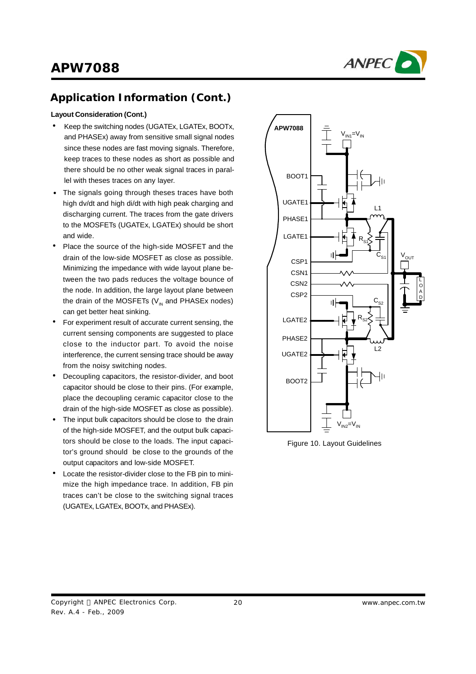



#### **Layout Consideration (Cont.)**

- Keep the switching nodes (UGATEx, LGATEx, BOOTx, and PHASEx) away from sensitive small signal nodes since these nodes are fast moving signals. Therefore, keep traces to these nodes as short as possible and there should be no other weak signal traces in parallel with theses traces on any layer.
- The signals going through theses traces have both high dv/dt and high di/dt with high peak charging and discharging current. The traces from the gate drivers to the MOSFETs (UGATEx, LGATEx) should be short and wide.
- Place the source of the high-side MOSFET and the drain of the low-side MOSFET as close as possible. Minimizing the impedance with wide layout plane between the two pads reduces the voltage bounce of the node. In addition, the large layout plane between the drain of the MOSFETs (V $_{\textrm{\tiny{IN}}}$  and PHASEx nodes) can get better heat sinking.
- For experiment result of accurate current sensing, the current sensing components are suggested to place close to the inductor part. To avoid the noise interference, the current sensing trace should be away from the noisy switching nodes. •
- Decoupling capacitors, the resistor-divider, and boot capacitor should be close to their pins. (For example, place the decoupling ceramic capacitor close to the drain of the high-side MOSFET as close as possible). •
- The input bulk capacitors should be close to the drain of the high-side MOSFET, and the output bulk capacitors should be close to the loads. The input capacitor's ground should be close to the grounds of the output capacitors and low-side MOSFET. •
- Locate the resistor-divider close to the FB pin to minimize the high impedance trace. In addition, FB pin traces can't be close to the switching signal traces (UGATEx, LGATEx, BOOTx, and PHASEx). •



Figure 10. Layout Guidelines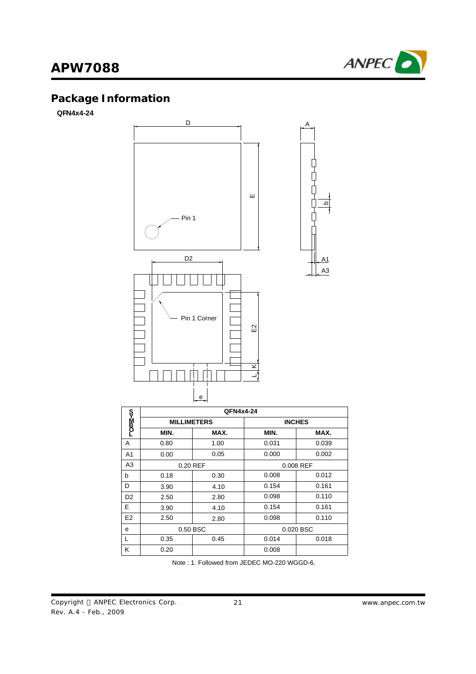

# **Package Information**

**QFN4x4-24**



|                | QFN4x4-24          |          |           |               |  |
|----------------|--------------------|----------|-----------|---------------|--|
| თ>=200_        | <b>MILLIMETERS</b> |          |           | <b>INCHES</b> |  |
|                | MIN.               | MAX.     | MIN.      | MAX.          |  |
| A              | 0.80               | 1.00     | 0.031     | 0.039         |  |
| A1             | 0.00               | 0.05     | 0.000     | 0.002         |  |
| A <sub>3</sub> |                    | 0.20 REF | 0.008 REF |               |  |
| b              | 0.18               | 0.30     | 0.008     | 0.012         |  |
| D              | 3.90               | 4.10     | 0.154     | 0.161         |  |
| D <sub>2</sub> | 2.50               | 2.80     | 0.098     | 0.110         |  |
| E              | 3.90               | 4.10     | 0.154     | 0.161         |  |
| E <sub>2</sub> | 2.50               | 2.80     | 0.098     | 0.110         |  |
| e              | 0.50 BSC           |          |           | 0.020 BSC     |  |
|                | 0.35               | 0.45     | 0.014     | 0.018         |  |
| ĸ              | 0.20               |          | 0.008     |               |  |

Note : 1. Followed from JEDEC MO-220 WGGD-6.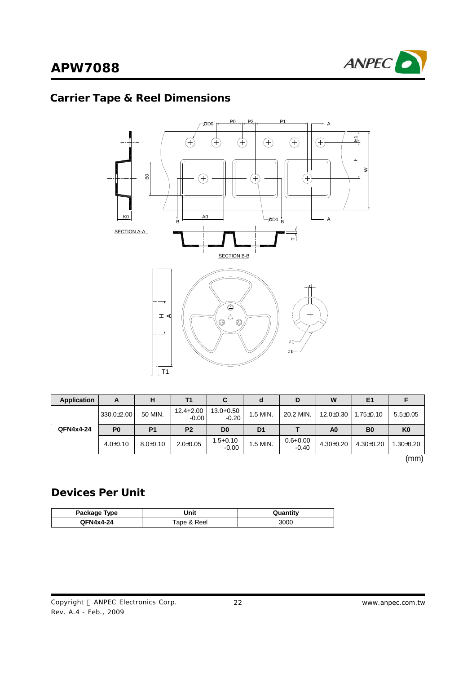

## **Carrier Tape & Reel Dimensions**



| <b>Application</b> | A                | н            | Τ1                       | C                        | α              | D                       | W               | E <sub>1</sub>  |                |
|--------------------|------------------|--------------|--------------------------|--------------------------|----------------|-------------------------|-----------------|-----------------|----------------|
| QFN4x4-24          | $330.0 \pm 2.00$ | 50 MIN.      | $12.4 + 2.00$<br>$-0.00$ | $13.0 + 0.50$<br>$-0.20$ | 1.5 MIN.       | 20.2 MIN.               | $12.0 \pm 0.30$ | $1.75 \pm 0.10$ | $5.5 \pm 0.05$ |
|                    | P <sub>0</sub>   | <b>P1</b>    | P <sub>2</sub>           | D <sub>0</sub>           | D <sub>1</sub> |                         | A <sub>0</sub>  | B <sub>0</sub>  | K <sub>0</sub> |
|                    | $4.0+0.10$       | $8.0 + 0.10$ | $2.0 + 0.05$             | $1.5 + 0.10$<br>$-0.00$  | 1.5 MIN.       | $0.6 + 0.00$<br>$-0.40$ | $4.30 + 0.20$   | $4.30 \pm 0.20$ | $1.30 + 0.20$  |

(mm)

## **Devices Per Unit**

| Package Type | Jnit        | Quantitv |  |
|--------------|-------------|----------|--|
| QFN4x4-24    | Tape & Reel | 300C     |  |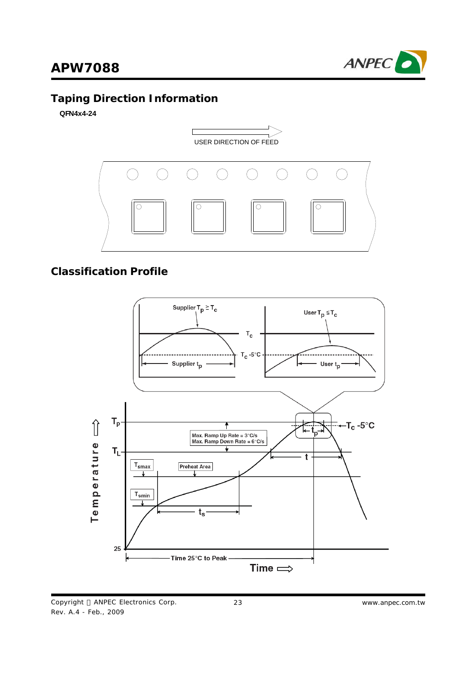

## **Taping Direction Information**

**QFN4x4-24**



## **Classification Profile**

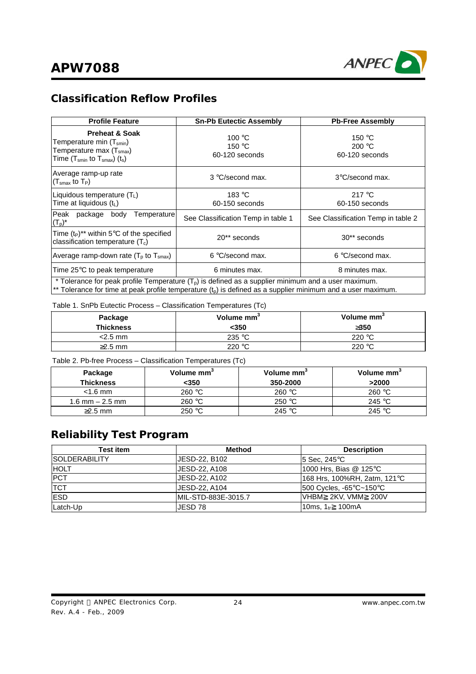

ANPEC

# **APW7088**

## **Classification Reflow Profiles**

| <b>Profile Feature</b>                                                                                                                                                                                                 | <b>Sn-Pb Eutectic Assembly</b>              | <b>Pb-Free Assembly</b>                              |  |  |
|------------------------------------------------------------------------------------------------------------------------------------------------------------------------------------------------------------------------|---------------------------------------------|------------------------------------------------------|--|--|
| <b>Preheat &amp; Soak</b><br>Temperature min (T <sub>smin</sub> )<br>Temperature max (T <sub>smax</sub> )<br>Time $(T_{smin}$ to $T_{smax}$ ) $(t_s)$                                                                  | 100 °C<br>150 $\degree$ C<br>60-120 seconds | 150 $\degree$ C<br>200 $\degree$ C<br>60-120 seconds |  |  |
| Average ramp-up rate<br>$(Tsmax$ to $TP)$                                                                                                                                                                              | 3 °C/second max.                            | 3°C/second max.                                      |  |  |
| Liquidous temperature $(T_L)$<br>Time at liquidous $(t_L)$                                                                                                                                                             | 183 $\degree$ C<br>60-150 seconds           | 217 $\degree$ C<br>60-150 seconds                    |  |  |
| Peak package body<br>Temperaturel<br>$(T_p)^*$                                                                                                                                                                         | See Classification Temp in table 1          | See Classification Temp in table 2                   |  |  |
| Time $(t_P)^{**}$ within 5°C of the specified<br>classification temperature $(T_c)$                                                                                                                                    | 20** seconds                                | 30** seconds                                         |  |  |
| Average ramp-down rate ( $Tp$ to $Tsmax$ )                                                                                                                                                                             | 6 °C/second max.                            | 6 °C/second max.                                     |  |  |
| Time 25°C to peak temperature                                                                                                                                                                                          | 6 minutes max.<br>8 minutes max.            |                                                      |  |  |
| * Tolerance for peak profile Temperature $(Tp)$ is defined as a supplier minimum and a user maximum.<br>** Tolerance for time at peak profile temperature $(t_p)$ is defined as a supplier minimum and a user maximum. |                                             |                                                      |  |  |

#### Table 1. SnPb Eutectic Process – Classification Temperatures (Tc)

| Package          | Volume mm <sup>3</sup> | Volume mm <sup>3</sup> |  |
|------------------|------------------------|------------------------|--|
| <b>Thickness</b> | $<$ 350                | 3350                   |  |
| $<$ 2.5 mm       | 235 °C                 | 220 °C                 |  |
| $\geq$ 2.5 mm    | 220 $\degree$ C        | 220 $\degree$ C        |  |

Table 2. Pb-free Process – Classification Temperatures (Tc)

| Package<br><b>Thickness</b> | Volume mm <sup>3</sup><br><350 | Volume mm<br>350-2000 | Volume mm <sup>3</sup><br>>2000 |
|-----------------------------|--------------------------------|-----------------------|---------------------------------|
| $<$ 1.6 mm                  | 260 °C                         | 260 $\degree$ C       | 260 $\degree$ C                 |
| 1.6 mm $-$ 2.5 mm           | 260 °C                         | 250 $\degree$ C       | 245 °C                          |
| $\geq$ 2.5 mm               | 250 °C                         | 245 $\degree$ C       | 245 °C                          |

## **Reliability Test Program**

| <b>Test item</b>      | <b>Method</b>       | <b>Description</b>           |
|-----------------------|---------------------|------------------------------|
| <b>ISOLDERABILITY</b> | JESD-22, B102       | I5 Sec. 245°C⊹               |
| <b>HOLT</b>           | JESD-22, A108       | 1000 Hrs, Bias @ 125°C       |
| <b>PCT</b>            | JESD-22, A102       | 168 Hrs, 100%RH, 2atm, 121°C |
| <b>TCT</b>            | JESD-22, A104       | I500 Cycles, -65°C~150°C     |
| <b>ESD</b>            | MIL-STD-883E-3015.7 | IVHBM 2KV.VMM 200V           |
| Latch-Up              | JESD 78             | 10ms, $1_{tr}$ 100mA         |